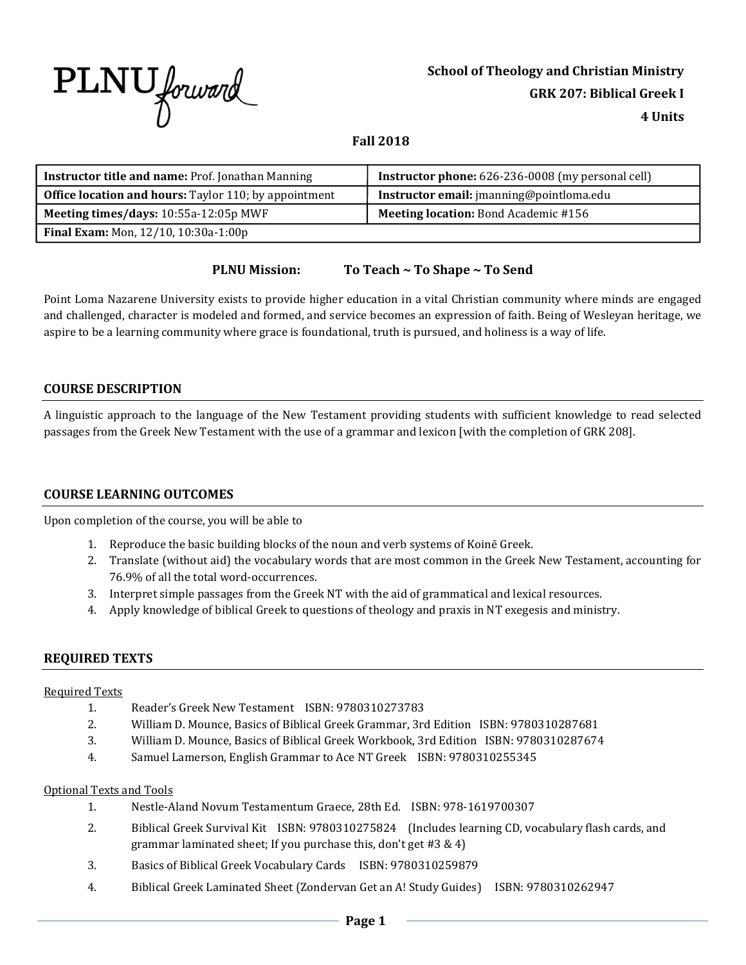

## **Fall 2018**

| <b>Instructor title and name: Prof. Jonathan Manning</b>     | <b>Instructor phone:</b> 626-236-0008 (my personal cell) |
|--------------------------------------------------------------|----------------------------------------------------------|
| <b>Office location and hours:</b> Taylor 110; by appointment | Instructor email: jmanning@pointloma.edu                 |
| Meeting times/days: 10:55a-12:05p MWF                        | Meeting location: Bond Academic #156                     |
| <b>Final Exam:</b> Mon, 12/10, 10:30a-1:00p                  |                                                          |

## **PLNU Mission: To Teach ~ To Shape ~ To Send**

Point Loma Nazarene University exists to provide higher education in a vital Christian community where minds are engaged and challenged, character is modeled and formed, and service becomes an expression of faith. Being of Wesleyan heritage, we aspire to be a learning community where grace is foundational, truth is pursued, and holiness is a way of life.

## **COURSE DESCRIPTION**

A linguistic approach to the language of the New Testament providing students with sufficient knowledge to read selected passages from the Greek New Testament with the use of a grammar and lexicon [with the completion of GRK 208].

## **COURSE LEARNING OUTCOMES**

Upon completion of the course, you will be able to

- 1. Reproduce the basic building blocks of the noun and verb systems of Koinē Greek.
- 2. Translate (without aid) the vocabulary words that are most common in the Greek New Testament, accounting for 76.9% of all the total word-occurrences.
- 3. Interpret simple passages from the Greek NT with the aid of grammatical and lexical resources.
- 4. Apply knowledge of biblical Greek to questions of theology and praxis in NT exegesis and ministry.

## **REQUIRED TEXTS**

#### Required Texts

- 1. Reader's Greek New Testament ISBN: 9780310273783
- 2. William D. Mounce, Basics of Biblical Greek Grammar, 3rd Edition ISBN: 9780310287681
- 3. William D. Mounce, Basics of Biblical Greek Workbook, 3rd Edition ISBN: 9780310287674
- 4. Samuel Lamerson, English Grammar to Ace NT Greek ISBN: 9780310255345

#### Optional Texts and Tools

- 1. Nestle-Aland Novum Testamentum Graece, 28th Ed. ISBN: 978-1619700307
- 2. Biblical Greek Survival Kit ISBN: 9780310275824 (Includes learning CD, vocabulary flash cards, and grammar laminated sheet; If you purchase this, don't get #3 & 4)
- 3. Basics of Biblical Greek Vocabulary Cards ISBN: 9780310259879
- 4. Biblical Greek Laminated Sheet (Zondervan Get an A! Study Guides) ISBN: 9780310262947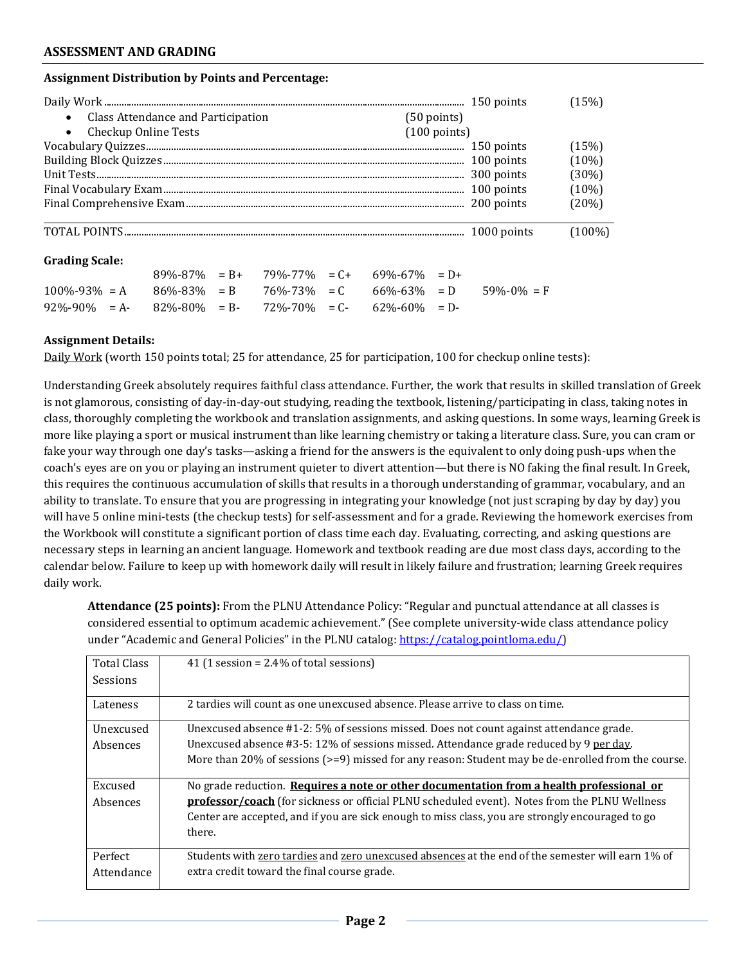### **Assignment Distribution by Points and Percentage:**

|                                      |                        | (15%)     |
|--------------------------------------|------------------------|-----------|
| • Class Attendance and Participation | $(50$ points)          |           |
| • Checkup Online Tests               | $(100 \text{ points})$ |           |
|                                      |                        | (15%)     |
|                                      |                        | $(10\%)$  |
|                                      |                        | (30%)     |
|                                      |                        | $(10\%)$  |
|                                      |                        | (20%)     |
|                                      |                        | $(100\%)$ |

# **Grading Scale:**

|                                                                                           |  | $89\% - 87\% = B + 79\% - 77\% = C + 69\% - 67\% = D +$ |  |  |
|-------------------------------------------------------------------------------------------|--|---------------------------------------------------------|--|--|
| $100\% - 93\% = A$ $86\% - 83\% = B$ $76\% - 73\% = C$ $66\% - 63\% = D$ $59\% - 0\% = F$ |  |                                                         |  |  |
| $92\% - 90\% = A - 82\% - 80\% = B - 72\% - 70\% = C - 62\% - 60\% = D -$                 |  |                                                         |  |  |

### **Assignment Details:**

Daily Work (worth 150 points total; 25 for attendance, 25 for participation, 100 for checkup online tests):

Understanding Greek absolutely requires faithful class attendance. Further, the work that results in skilled translation of Greek is not glamorous, consisting of day-in-day-out studying, reading the textbook, listening/participating in class, taking notes in class, thoroughly completing the workbook and translation assignments, and asking questions. In some ways, learning Greek is more like playing a sport or musical instrument than like learning chemistry or taking a literature class. Sure, you can cram or fake your way through one day's tasks—asking a friend for the answers is the equivalent to only doing push-ups when the coach's eyes are on you or playing an instrument quieter to divert attention—but there is NO faking the final result. In Greek, this requires the continuous accumulation of skills that results in a thorough understanding of grammar, vocabulary, and an ability to translate. To ensure that you are progressing in integrating your knowledge (not just scraping by day by day) you will have 5 online mini-tests (the checkup tests) for self-assessment and for a grade. Reviewing the homework exercises from the Workbook will constitute a significant portion of class time each day. Evaluating, correcting, and asking questions are necessary steps in learning an ancient language. Homework and textbook reading are due most class days, according to the calendar below. Failure to keep up with homework daily will result in likely failure and frustration; learning Greek requires daily work.

**Attendance (25 points):** From the PLNU Attendance Policy: "Regular and punctual attendance at all classes is considered essential to optimum academic achievement." (See complete university-wide class attendance policy under "Academic and General Policies" in the PLNU catalog: https://catalog.pointloma.edu/)

| 41 (1 session = $2.4\%$ of total sessions)                                                                 |
|------------------------------------------------------------------------------------------------------------|
|                                                                                                            |
| 2 tardies will count as one unexcused absence. Please arrive to class on time.                             |
| Unexcused absence #1-2: 5% of sessions missed. Does not count against attendance grade.                    |
| Unexcused absence #3-5: 12% of sessions missed. Attendance grade reduced by 9 per day.                     |
| More than $20\%$ of sessions ( $>= 9$ ) missed for any reason: Student may be de-enrolled from the course. |
| No grade reduction. Requires a note or other documentation from a health professional or                   |
| <b>professor/coach</b> (for sickness or official PLNU scheduled event). Notes from the PLNU Wellness       |
| Center are accepted, and if you are sick enough to miss class, you are strongly encouraged to go           |
| there.                                                                                                     |
| Students with zero tardies and zero unexcused absences at the end of the semester will earn 1% of          |
| extra credit toward the final course grade.                                                                |
|                                                                                                            |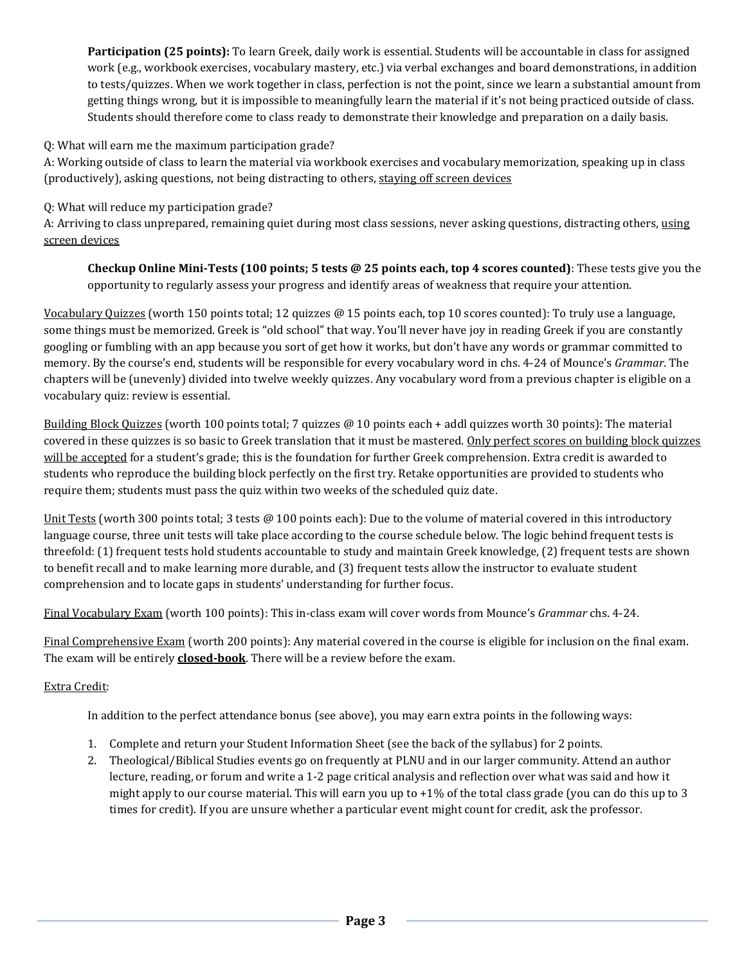**Participation (25 points):** To learn Greek, daily work is essential. Students will be accountable in class for assigned work (e.g., workbook exercises, vocabulary mastery, etc.) via verbal exchanges and board demonstrations, in addition to tests/quizzes. When we work together in class, perfection is not the point, since we learn a substantial amount from getting things wrong, but it is impossible to meaningfully learn the material if it's not being practiced outside of class. Students should therefore come to class ready to demonstrate their knowledge and preparation on a daily basis.

Q: What will earn me the maximum participation grade?

A: Working outside of class to learn the material via workbook exercises and vocabulary memorization, speaking up in class (productively), asking questions, not being distracting to others, staying off screen devices

Q: What will reduce my participation grade?

A: Arriving to class unprepared, remaining quiet during most class sessions, never asking questions, distracting others, using screen devices

**Checkup Online Mini-Tests (100 points; 5 tests @ 25 points each, top 4 scores counted)**: These tests give you the opportunity to regularly assess your progress and identify areas of weakness that require your attention.

Vocabulary Quizzes (worth 150 points total; 12 quizzes @ 15 points each, top 10 scores counted): To truly use a language, some things must be memorized. Greek is "old school" that way. You'll never have joy in reading Greek if you are constantly googling or fumbling with an app because you sort of get how it works, but don't have any words or grammar committed to memory. By the course's end, students will be responsible for every vocabulary word in chs. 4-24 of Mounce's *Grammar*. The chapters will be (unevenly) divided into twelve weekly quizzes. Any vocabulary word from a previous chapter is eligible on a vocabulary quiz: review is essential.

Building Block Quizzes (worth 100 points total; 7 quizzes @ 10 points each + addl quizzes worth 30 points): The material covered in these quizzes is so basic to Greek translation that it must be mastered. Only perfect scores on building block quizzes will be accepted for a student's grade; this is the foundation for further Greek comprehension. Extra credit is awarded to students who reproduce the building block perfectly on the first try. Retake opportunities are provided to students who require them; students must pass the quiz within two weeks of the scheduled quiz date.

Unit Tests (worth 300 points total; 3 tests @ 100 points each): Due to the volume of material covered in this introductory language course, three unit tests will take place according to the course schedule below. The logic behind frequent tests is threefold: (1) frequent tests hold students accountable to study and maintain Greek knowledge, (2) frequent tests are shown to benefit recall and to make learning more durable, and (3) frequent tests allow the instructor to evaluate student comprehension and to locate gaps in students' understanding for further focus.

Final Vocabulary Exam (worth 100 points): This in-class exam will cover words from Mounce's *Grammar* chs. 4-24.

Final Comprehensive Exam (worth 200 points): Any material covered in the course is eligible for inclusion on the final exam. The exam will be entirely **closed-book**. There will be a review before the exam.

## Extra Credit:

In addition to the perfect attendance bonus (see above), you may earn extra points in the following ways:

- 1. Complete and return your Student Information Sheet (see the back of the syllabus) for 2 points.
- 2. Theological/Biblical Studies events go on frequently at PLNU and in our larger community. Attend an author lecture, reading, or forum and write a 1-2 page critical analysis and reflection over what was said and how it might apply to our course material. This will earn you up to  $+1\%$  of the total class grade (you can do this up to 3 times for credit). If you are unsure whether a particular event might count for credit, ask the professor.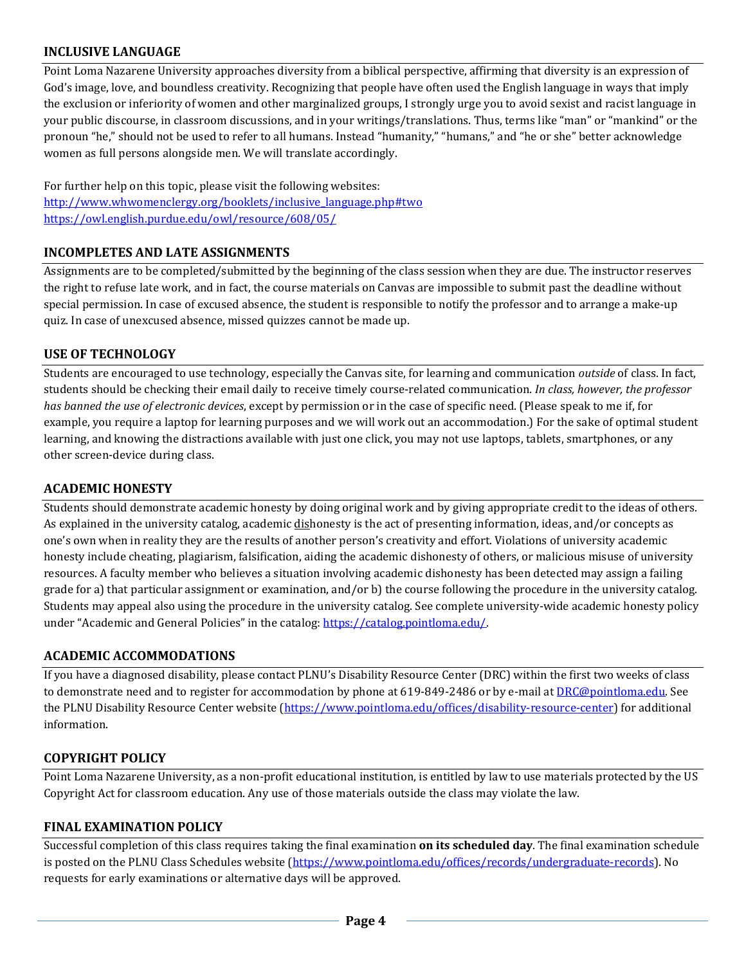## **INCLUSIVE LANGUAGE**

Point Loma Nazarene University approaches diversity from a biblical perspective, affirming that diversity is an expression of God's image, love, and boundless creativity. Recognizing that people have often used the English language in ways that imply the exclusion or inferiority of women and other marginalized groups, I strongly urge you to avoid sexist and racist language in your public discourse, in classroom discussions, and in your writings/translations. Thus, terms like "man" or "mankind" or the pronoun "he," should not be used to refer to all humans. Instead "humanity," "humans," and "he or she" better acknowledge women as full persons alongside men. We will translate accordingly.

For further help on this topic, please visit the following websites: http://www.whwomenclergy.org/booklets/inclusive\_language.php#two https://owl.english.purdue.edu/owl/resource/608/05/

## **INCOMPLETES AND LATE ASSIGNMENTS**

Assignments are to be completed/submitted by the beginning of the class session when they are due. The instructor reserves the right to refuse late work, and in fact, the course materials on Canvas are impossible to submit past the deadline without special permission. In case of excused absence, the student is responsible to notify the professor and to arrange a make-up quiz. In case of unexcused absence, missed quizzes cannot be made up.

## **USE OF TECHNOLOGY**

Students are encouraged to use technology, especially the Canvas site, for learning and communication *outside* of class. In fact, students should be checking their email daily to receive timely course-related communication. *In class, however, the professor has banned the use of electronic devices*, except by permission or in the case of specific need. (Please speak to me if, for example, you require a laptop for learning purposes and we will work out an accommodation.) For the sake of optimal student learning, and knowing the distractions available with just one click, you may not use laptops, tablets, smartphones, or any other screen-device during class.

## **ACADEMIC HONESTY**

Students should demonstrate academic honesty by doing original work and by giving appropriate credit to the ideas of others. As explained in the university catalog, academic dishonesty is the act of presenting information, ideas, and/or concepts as one's own when in reality they are the results of another person's creativity and effort. Violations of university academic honesty include cheating, plagiarism, falsification, aiding the academic dishonesty of others, or malicious misuse of university resources. A faculty member who believes a situation involving academic dishonesty has been detected may assign a failing grade for a) that particular assignment or examination, and/or b) the course following the procedure in the university catalog. Students may appeal also using the procedure in the university catalog. See complete university-wide academic honesty policy under "Academic and General Policies" in the catalog: https://catalog.pointloma.edu/.

## **ACADEMIC ACCOMMODATIONS**

If you have a diagnosed disability, please contact PLNU's Disability Resource Center (DRC) within the first two weeks of class to demonstrate need and to register for accommodation by phone at 619-849-2486 or by e-mail at DRC@pointloma.edu. See the PLNU Disability Resource Center website (https://www.pointloma.edu/offices/disability-resource-center) for additional information.

## **COPYRIGHT POLICY**

Point Loma Nazarene University, as a non-profit educational institution, is entitled by law to use materials protected by the US Copyright Act for classroom education. Any use of those materials outside the class may violate the law.

## **FINAL EXAMINATION POLICY**

Successful completion of this class requires taking the final examination **on its scheduled day**. The final examination schedule is posted on the PLNU Class Schedules website (https://www.pointloma.edu/offices/records/undergraduate-records). No requests for early examinations or alternative days will be approved.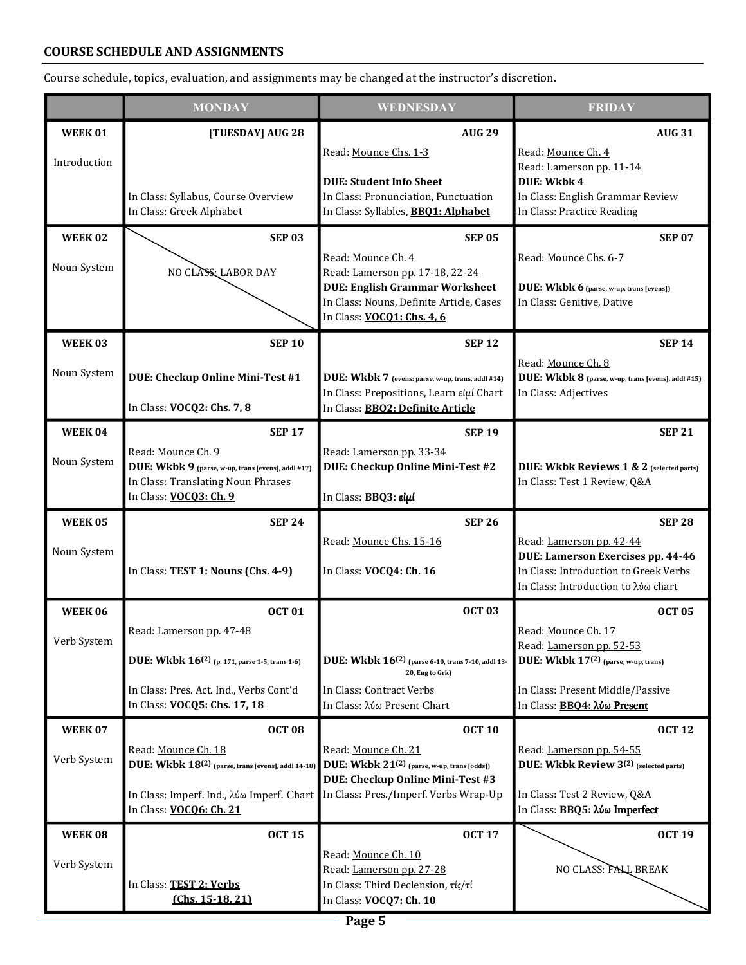# **COURSE SCHEDULE AND ASSIGNMENTS**

Course schedule, topics, evaluation, and assignments may be changed at the instructor's discretion.

|                | <b>MONDAY</b>                                                                         | <b>WEDNESDAY</b>                                                                  | <b>FRIDAY</b>                                                                  |
|----------------|---------------------------------------------------------------------------------------|-----------------------------------------------------------------------------------|--------------------------------------------------------------------------------|
| <b>WEEK 01</b> | [TUESDAY] AUG 28                                                                      | <b>AUG 29</b>                                                                     | <b>AUG 31</b>                                                                  |
| Introduction   |                                                                                       | Read: Mounce Chs. 1-3                                                             | Read: Mounce Ch. 4<br>Read: Lamerson pp. 11-14                                 |
|                |                                                                                       | <b>DUE: Student Info Sheet</b>                                                    | DUE: Wkbk 4                                                                    |
|                | In Class: Syllabus, Course Overview<br>In Class: Greek Alphabet                       | In Class: Pronunciation, Punctuation<br>In Class: Syllables, BBQ1: Alphabet       | In Class: English Grammar Review<br>In Class: Practice Reading                 |
| <b>WEEK 02</b> | <b>SEP 03</b>                                                                         | <b>SEP 05</b>                                                                     | <b>SEP 07</b>                                                                  |
|                |                                                                                       | Read: Mounce Ch. 4                                                                | Read: Mounce Chs. 6-7                                                          |
| Noun System    | NO CLASS: LABOR DAY                                                                   | Read: Lamerson pp. 17-18, 22-24                                                   |                                                                                |
|                |                                                                                       | <b>DUE: English Grammar Worksheet</b><br>In Class: Nouns, Definite Article, Cases | <b>DUE:</b> Wkbk 6 (parse, w-up, trans [evens])<br>In Class: Genitive, Dative  |
|                |                                                                                       | In Class: VOCQ1: Chs. 4, 6                                                        |                                                                                |
| <b>WEEK03</b>  | <b>SEP 10</b>                                                                         | <b>SEP 12</b>                                                                     | <b>SEP 14</b>                                                                  |
| Noun System    | DUE: Checkup Online Mini-Test #1                                                      | DUE: Wkbk 7 (evens: parse, w-up, trans, addl #14)                                 | Read: Mounce Ch. 8<br>DUE: Wkbk 8 (parse, w-up, trans [evens], addl #15)       |
|                |                                                                                       | In Class: Prepositions, Learn είμί Chart                                          | In Class: Adjectives                                                           |
|                | In Class: VOCQ2: Chs. 7, 8                                                            | In Class: BBO2: Definite Article                                                  |                                                                                |
| <b>WEEK 04</b> | <b>SEP 17</b><br>Read: Mounce Ch. 9                                                   | <b>SEP 19</b><br>Read: Lamerson pp. 33-34                                         | <b>SEP 21</b>                                                                  |
| Noun System    | DUE: Wkbk 9 (parse, w-up, trans [evens], addl #17)                                    | DUE: Checkup Online Mini-Test #2                                                  | DUE: Wkbk Reviews 1 & 2 (selected parts)                                       |
|                | In Class: Translating Noun Phrases<br>In Class: VOCQ3: Ch. 9                          | In Class: BBQ3: είμί                                                              | In Class: Test 1 Review, Q&A                                                   |
| <b>WEEK 05</b> | <b>SEP 24</b>                                                                         | <b>SEP 26</b>                                                                     | <b>SEP 28</b>                                                                  |
| Noun System    |                                                                                       | Read: Mounce Chs. 15-16                                                           | Read: Lamerson pp. 42-44                                                       |
|                | In Class: TEST 1: Nouns (Chs. 4-9)                                                    | In Class: VOCQ4: Ch. 16                                                           | DUE: Lamerson Exercises pp. 44-46<br>In Class: Introduction to Greek Verbs     |
|                |                                                                                       |                                                                                   | In Class: Introduction to λύω chart                                            |
| <b>WEEK 06</b> | <b>OCT 01</b>                                                                         | <b>OCT 03</b>                                                                     | <b>OCT 05</b>                                                                  |
| Verb System    | Read: Lamerson pp. 47-48                                                              |                                                                                   | Read: Mounce Ch. 17<br>Read: Lamerson pp. 52-53                                |
|                | DUE: Wkbk 16 <sup>(2)</sup> (p. 171, parse 1-5, trans 1-6)                            | DUE: Wkbk 16 <sup>(2)</sup> (parse 6-10, trans 7-10, addl 13-<br>20, Eng to Grk)  | DUE: Wkbk 17 <sup>(2)</sup> (parse, w-up, trans)                               |
|                | In Class: Pres. Act. Ind., Verbs Cont'd                                               | In Class: Contract Verbs                                                          | In Class: Present Middle/Passive                                               |
|                | In Class: VOCO5: Chs. 17, 18                                                          | In Class: λύω Present Chart                                                       | In Class: BBQ4: λύω Present                                                    |
| <b>WEEK 07</b> | <b>OCT 08</b>                                                                         | <b>OCT 10</b>                                                                     | <b>OCT 12</b>                                                                  |
| Verb System    | Read: Mounce Ch. 18<br>DUE: Wkbk 18 <sup>(2)</sup> (parse, trans [evens], addl 14-18) | Read: Mounce Ch. 21<br>DUE: Wkbk 21 <sup>(2)</sup> (parse, w-up, trans [odds])    | Read: Lamerson pp. 54-55<br>DUE: Wkbk Review 3 <sup>(2)</sup> (selected parts) |
|                |                                                                                       | DUE: Checkup Online Mini-Test #3<br>In Class: Pres./Imperf. Verbs Wrap-Up         |                                                                                |
|                | In Class: Imperf. Ind., λύω Imperf. Chart<br>In Class: VOCQ6: Ch. 21                  |                                                                                   | In Class: Test 2 Review, Q&A<br>In Class: <b>BB05: λύω Imperfect</b>           |
| WEEK 08        | <b>OCT 15</b>                                                                         | <b>OCT 17</b>                                                                     | <b>OCT 19</b>                                                                  |
| Verb System    |                                                                                       | Read: Mounce Ch. 10<br>Read: Lamerson pp. 27-28                                   | NO CLASS: FALL BREAK                                                           |
|                | In Class: TEST 2: Verbs                                                               | In Class: Third Declension, τίς/τί                                                |                                                                                |
|                | $(Chs. 15-18, 21)$                                                                    | In Class: VOCQ7: Ch. 10                                                           |                                                                                |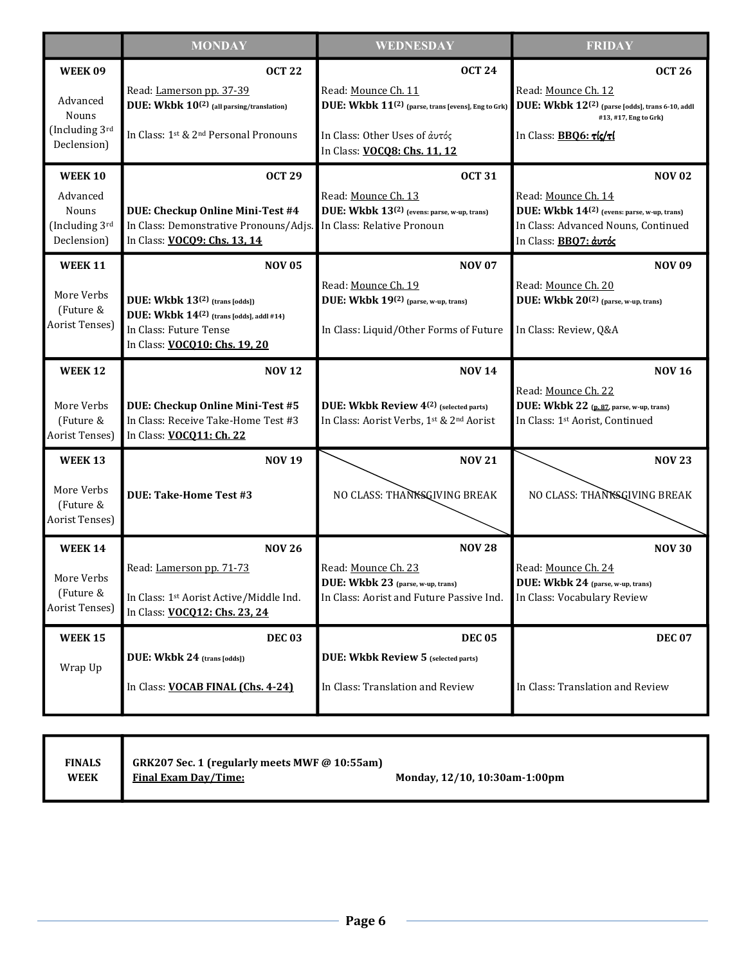|                                                                      | <b>MONDAY</b>                                                                                                                                                                         | WEDNESDAY                                                                                                                                                               | <b>FRIDAY</b>                                                                                                                                                          |  |
|----------------------------------------------------------------------|---------------------------------------------------------------------------------------------------------------------------------------------------------------------------------------|-------------------------------------------------------------------------------------------------------------------------------------------------------------------------|------------------------------------------------------------------------------------------------------------------------------------------------------------------------|--|
| <b>WEEK09</b><br>Advanced<br>Nouns<br>(Including 3rd<br>Declension)  | <b>OCT 22</b><br>Read: Lamerson pp. 37-39<br>DUE: Wkbk 10 <sup>(2)</sup> (all parsing/translation)<br>In Class: 1st & 2 <sup>nd</sup> Personal Pronouns                               | <b>OCT 24</b><br>Read: Mounce Ch. 11<br>DUE: Wkbk 11 <sup>(2)</sup> (parse, trans [evens], Eng to Grk)<br>In Class: Other Uses of άυτός<br>In Class: VOCO8: Chs. 11, 12 | <b>OCT 26</b><br>Read: Mounce Ch. 12<br>DUE: Wkbk 12(2) (parse [odds], trans 6-10, addl<br>#13, #17, Eng to Grk)<br>In Class: BBQ6: Tlc/Tl                             |  |
| <b>WEEK 10</b><br>Advanced<br>Nouns<br>(Including 3rd<br>Declension) | <b>OCT 29</b><br>DUE: Checkup Online Mini-Test #4<br>In Class: Demonstrative Pronouns/Adjs.<br>In Class: VOCO9: Chs. 13, 14                                                           | <b>OCT 31</b><br>Read: Mounce Ch. 13<br>DUE: Wkbk 13 <sup>(2)</sup> (evens: parse, w-up, trans)<br>In Class: Relative Pronoun                                           | <b>NOV 02</b><br>Read: Mounce Ch. 14<br>DUE: Wkbk 14 <sup>(2)</sup> (evens: parse, w-up, trans)<br>In Class: Advanced Nouns, Continued<br>In Class: <b>BBQ7: άυτός</b> |  |
| <b>WEEK 11</b><br>More Verbs<br>(Future &<br>Aorist Tenses)          | <b>NOV 05</b><br>DUE: Wkbk 13 <sup>(2)</sup> (trans [odds])<br>DUE: Wkbk 14 <sup>(2)</sup> (trans [odds], addl #14)<br>In Class: Future Tense<br>In Class: <b>VOCO10: Chs. 19, 20</b> | <b>NOV 07</b><br>Read: Mounce Ch. 19<br>DUE: Wkbk 19(2) (parse, w-up, trans)<br>In Class: Liquid/Other Forms of Future                                                  | <b>NOV 09</b><br>Read: Mounce Ch. 20<br>DUE: Wkbk 20 <sup>(2)</sup> (parse, w-up, trans)<br>In Class: Review, Q&A                                                      |  |
| <b>WEEK 12</b><br>More Verbs<br>(Future &<br>Aorist Tenses)          | <b>NOV 12</b><br>DUE: Checkup Online Mini-Test #5<br>In Class: Receive Take-Home Test #3<br>In Class: VOCQ11: Ch. 22                                                                  | <b>NOV 14</b><br>DUE: Wkbk Review 4 <sup>(2)</sup> (selected parts)<br>In Class: Aorist Verbs, 1st & 2nd Aorist                                                         | <b>NOV 16</b><br>Read: Mounce Ch. 22<br>DUE: Wkbk 22 (p. 87, parse, w-up, trans)<br>In Class: 1st Aorist, Continued                                                    |  |
| <b>WEEK 13</b><br>More Verbs<br>(Future &<br>Aorist Tenses)          | <b>NOV 19</b><br><b>DUE: Take-Home Test #3</b>                                                                                                                                        | <b>NOV 21</b><br>NO CLASS: THANKSGIVING BREAK                                                                                                                           | <b>NOV 23</b><br>NO CLASS: THANKSGIVING BREAK                                                                                                                          |  |
| <b>WEEK 14</b><br>More Verbs<br>(Future &<br>Aorist Tenses)          | <b>NOV 26</b><br>Read: Lamerson pp. 71-73<br>In Class: 1st Aorist Active/Middle Ind.<br>In Class: VOCQ12: Chs. 23, 24                                                                 | <b>NOV 28</b><br>Read: Mounce Ch. 23<br>DUE: Wkbk 23 (parse, w-up, trans)<br>In Class: Aorist and Future Passive Ind.                                                   | <b>NOV 30</b><br>Read: Mounce Ch. 24<br>DUE: Wkbk 24 (parse, w-up, trans)<br>In Class: Vocabulary Review                                                               |  |
| <b>WEEK 15</b><br>Wrap Up                                            | <b>DEC 03</b><br>DUE: Wkbk 24 (trans [odds])<br>In Class: <b>VOCAB FINAL (Chs. 4-24)</b>                                                                                              | <b>DEC 05</b><br>DUE: Wkbk Review 5 (selected parts)<br>In Class: Translation and Review                                                                                | <b>DEC 07</b><br>In Class: Translation and Review                                                                                                                      |  |

| <b>FINALS</b> | GRK207 Sec. 1 (regularly meets MWF @ 10:55am) |                               |
|---------------|-----------------------------------------------|-------------------------------|
| <b>WEEK</b>   | <b>Final Exam Day/Time:</b>                   | Monday, 12/10, 10:30am-1:00pm |
|               |                                               |                               |